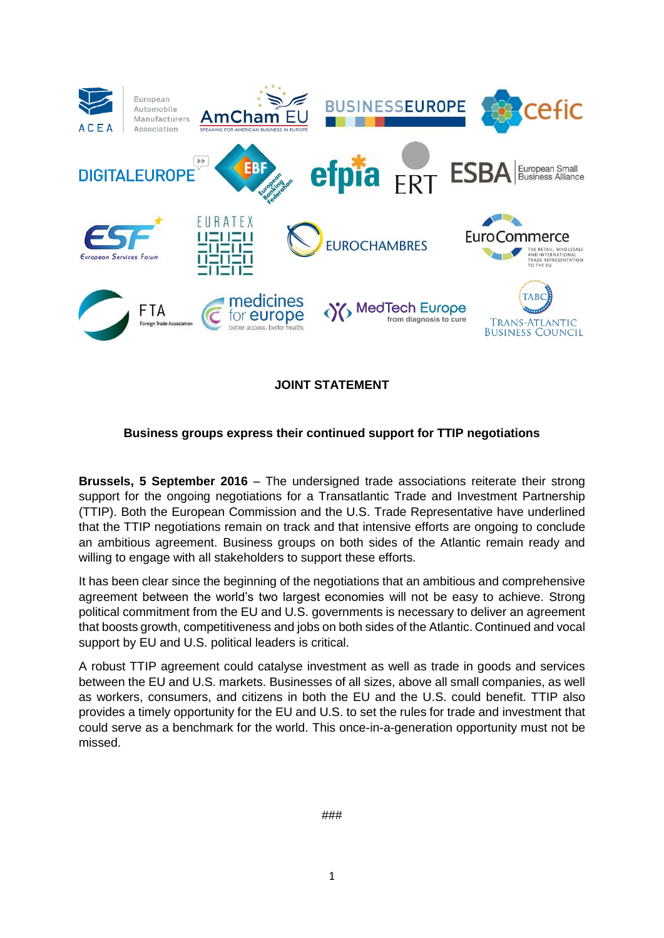

**JOINT STATEMENT**

## **Business groups express their continued support for TTIP negotiations**

**Brussels, 5 September 2016** – The undersigned trade associations reiterate their strong support for the ongoing negotiations for a Transatlantic Trade and Investment Partnership (TTIP). Both the European Commission and the U.S. Trade Representative have underlined that the TTIP negotiations remain on track and that intensive efforts are ongoing to conclude an ambitious agreement. Business groups on both sides of the Atlantic remain ready and willing to engage with all stakeholders to support these efforts.

It has been clear since the beginning of the negotiations that an ambitious and comprehensive agreement between the world's two largest economies will not be easy to achieve. Strong political commitment from the EU and U.S. governments is necessary to deliver an agreement that boosts growth, competitiveness and jobs on both sides of the Atlantic. Continued and vocal support by EU and U.S. political leaders is critical.

A robust TTIP agreement could catalyse investment as well as trade in goods and services between the EU and U.S. markets. Businesses of all sizes, above all small companies, as well as workers, consumers, and citizens in both the EU and the U.S. could benefit. TTIP also provides a timely opportunity for the EU and U.S. to set the rules for trade and investment that could serve as a benchmark for the world. This once-in-a-generation opportunity must not be missed.

###